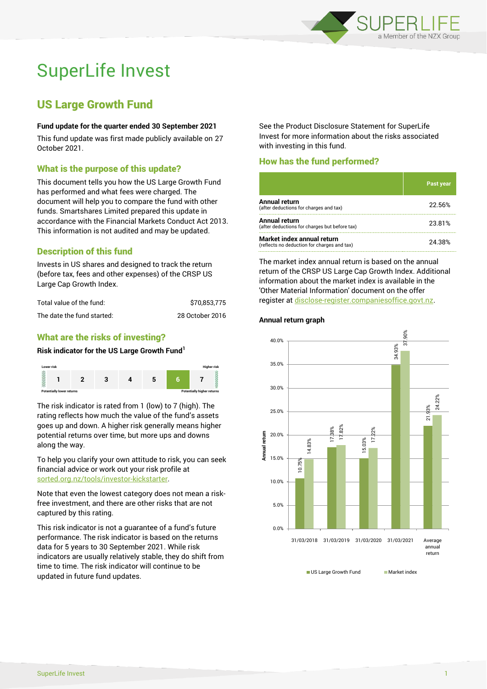

# SuperLife Invest

# US Large Growth Fund

## **Fund update for the quarter ended 30 September 2021**

This fund update was first made publicly available on 27 October 2021.

# What is the purpose of this update?

This document tells you how the US Large Growth Fund has performed and what fees were charged. The document will help you to compare the fund with other funds. Smartshares Limited prepared this update in accordance with the Financial Markets Conduct Act 2013. This information is not audited and may be updated.

# Description of this fund

Invests in US shares and designed to track the return (before tax, fees and other expenses) of the CRSP US Large Cap Growth Index.

| Total value of the fund:   | \$70.853.775    |
|----------------------------|-----------------|
| The date the fund started: | 28 October 2016 |

# What are the risks of investing?

#### **Risk indicator for the US Large Growth Fund<sup>1</sup>**



The risk indicator is rated from 1 (low) to 7 (high). The rating reflects how much the value of the fund's assets goes up and down. A higher risk generally means higher potential returns over time, but more ups and downs along the way.

To help you clarify your own attitude to risk, you can seek financial advice or work out your risk profile at [sorted.org.nz/tools/investor-kickstarter.](http://www.sorted.org.nz/tools/investor-kickstarter)

Note that even the lowest category does not mean a riskfree investment, and there are other risks that are not captured by this rating.

This risk indicator is not a guarantee of a fund's future performance. The risk indicator is based on the returns data for 5 years to 30 September 2021. While risk indicators are usually relatively stable, they do shift from time to time. The risk indicator will continue to be updated in future fund updates.

See the Product Disclosure Statement for SuperLife Invest for more information about the risks associated with investing in this fund.

# How has the fund performed?

|                                                                           | <b>Past year</b> |
|---------------------------------------------------------------------------|------------------|
| <b>Annual return</b><br>(after deductions for charges and tax)            | 22.56%           |
| Annual return<br>(after deductions for charges but before tax)            | 23.81%           |
| Market index annual return<br>(reflects no deduction for charges and tax) | 24.38%           |

The market index annual return is based on the annual return of the CRSP US Large Cap Growth Index. Additional information about the market index is available in the 'Other Material Information' document on the offer register a[t disclose-register.companiesoffice.govt.nz.](http://www.disclose-register.companiesoffice.govt.nz/)

#### **Annual return graph**



■ US Large Growth Fund Market index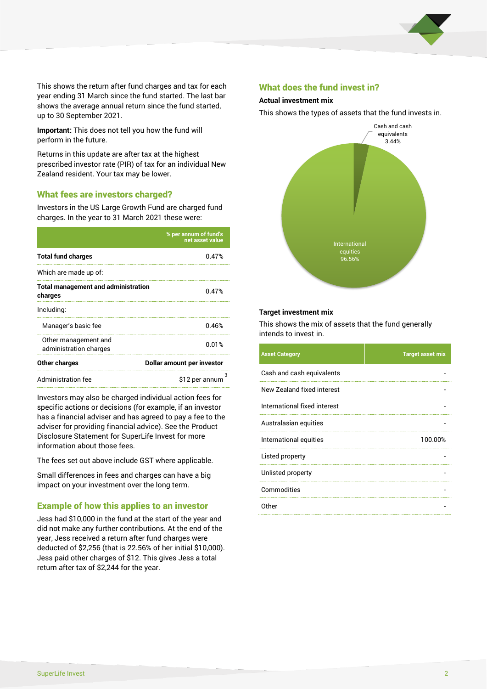

This shows the return after fund charges and tax for each year ending 31 March since the fund started. The last bar shows the average annual return since the fund started, up to 30 September 2021.

**Important:** This does not tell you how the fund will perform in the future.

Returns in this update are after tax at the highest prescribed investor rate (PIR) of tax for an individual New Zealand resident. Your tax may be lower.

# What fees are investors charged?

Investors in the US Large Growth Fund are charged fund charges. In the year to 31 March 2021 these were:

|                                                       | % per annum of fund's<br>net asset value |  |
|-------------------------------------------------------|------------------------------------------|--|
| <b>Total fund charges</b>                             | 0.47%                                    |  |
| Which are made up of:                                 |                                          |  |
| <b>Total management and administration</b><br>charges | 0.47%                                    |  |
| Including:                                            |                                          |  |
| Manager's basic fee                                   | 0.46%                                    |  |
| Other management and<br>administration charges        | 0.01%                                    |  |
| Other charges                                         | Dollar amount per investor               |  |
| Administration fee                                    | з<br>\$12 per annum                      |  |

Investors may also be charged individual action fees for specific actions or decisions (for example, if an investor has a financial adviser and has agreed to pay a fee to the adviser for providing financial advice). See the Product Disclosure Statement for SuperLife Invest for more information about those fees.

The fees set out above include GST where applicable.

Small differences in fees and charges can have a big impact on your investment over the long term.

# Example of how this applies to an investor

Jess had \$10,000 in the fund at the start of the year and did not make any further contributions. At the end of the year, Jess received a return after fund charges were deducted of \$2,256 (that is 22.56% of her initial \$10,000). Jess paid other charges of \$12. This gives Jess a total return after tax of \$2,244 for the year.

### What does the fund invest in?

### **Actual investment mix**

This shows the types of assets that the fund invests in.



#### **Target investment mix**

This shows the mix of assets that the fund generally intends to invest in.

| <b>Asset Category</b>        | <b>Target asset mix</b> |
|------------------------------|-------------------------|
| Cash and cash equivalents    |                         |
| New Zealand fixed interest   |                         |
| International fixed interest |                         |
| Australasian equities        |                         |
| International equities       | 100.00%                 |
| Listed property              |                         |
| Unlisted property            |                         |
| Commodities                  |                         |
| Other                        |                         |